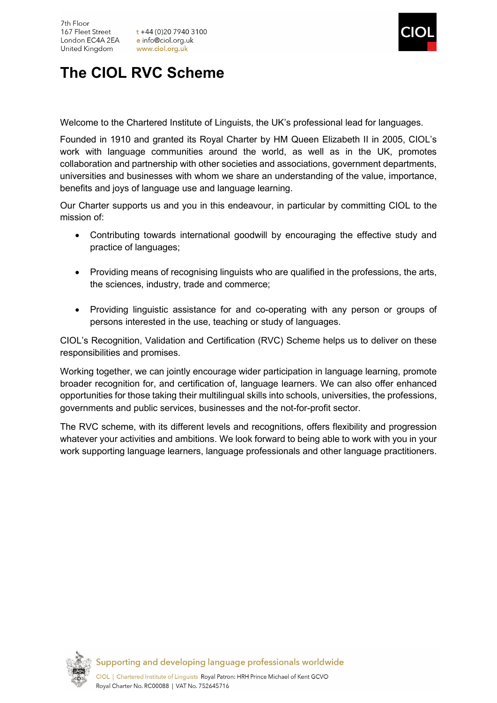

# **The CIOL RVC Scheme**

Welcome to the Chartered Institute of Linguists, the UK's professional lead for languages.

Founded in 1910 and granted its Royal Charter by HM Queen Elizabeth II in 2005, CIOL's work with language communities around the world, as well as in the UK, promotes collaboration and partnership with other societies and associations, government departments, universities and businesses with whom we share an understanding of the value, importance, benefits and joys of language use and language learning.

Our Charter supports us and you in this endeavour, in particular by committing CIOL to the mission of:

- Contributing towards international goodwill by encouraging the effective study and practice of languages;
- Providing means of recognising linguists who are qualified in the professions, the arts, the sciences, industry, trade and commerce;
- Providing linguistic assistance for and co-operating with any person or groups of persons interested in the use, teaching or study of languages.

CIOL's Recognition, Validation and Certification (RVC) Scheme helps us to deliver on these responsibilities and promises.

Working together, we can jointly encourage wider participation in language learning, promote broader recognition for, and certification of, language learners. We can also offer enhanced opportunities for those taking their multilingual skills into schools, universities, the professions, governments and public services, businesses and the not-for-profit sector.

The RVC scheme, with its different levels and recognitions, offers flexibility and progression whatever your activities and ambitions. We look forward to being able to work with you in your work supporting language learners, language professionals and other language practitioners.



Supporting and developing language professionals worldwide CIOL | Chartered Institute of Linguists Royal Patron: HRH Prince Michael of Kent GCVO Royal Charter No. RC00088 | VAT No. 752645716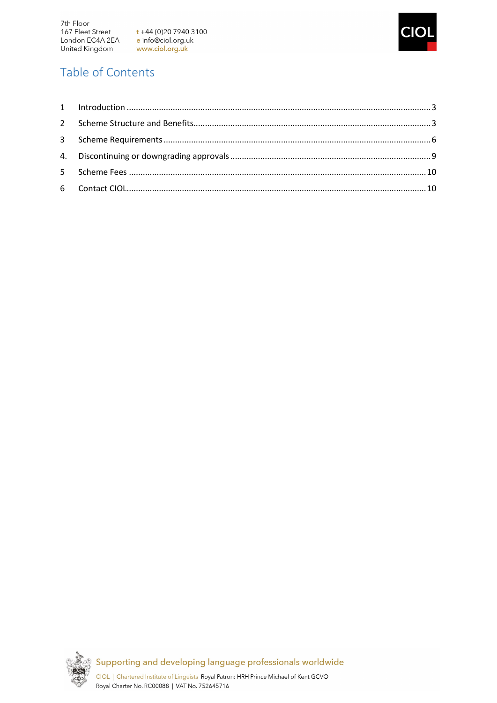



## Table of Contents



Supporting and developing language professionals worldwide

CIOL | Chartered Institute of Linguists Royal Patron: HRH Prince Michael of Kent GCVO Royal Charter No. RC00088 | VAT No. 752645716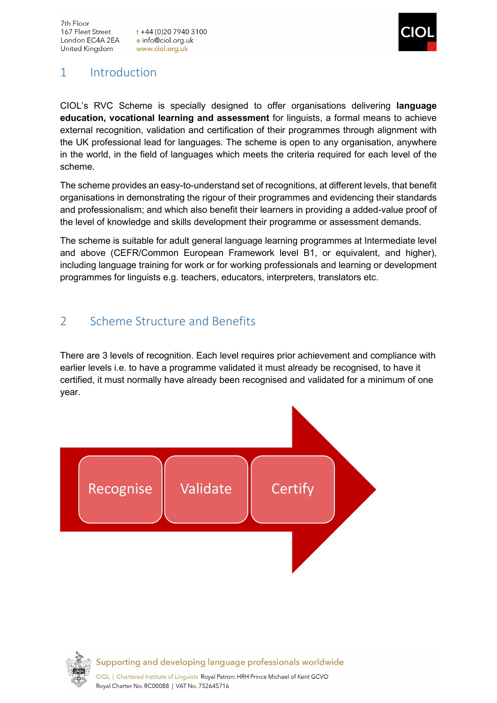

## <span id="page-2-0"></span>1 Introduction

CIOL's RVC Scheme is specially designed to offer organisations delivering **language education, vocational learning and assessment** for linguists, a formal means to achieve external recognition, validation and certification of their programmes through alignment with the UK professional lead for languages. The scheme is open to any organisation, anywhere in the world, in the field of languages which meets the criteria required for each level of the scheme.

The scheme provides an easy-to-understand set of recognitions, at different levels, that benefit organisations in demonstrating the rigour of their programmes and evidencing their standards and professionalism; and which also benefit their learners in providing a added-value proof of the level of knowledge and skills development their programme or assessment demands.

The scheme is suitable for adult general language learning programmes at Intermediate level and above (CEFR/Common European Framework level B1, or equivalent, and higher), including language training for work or for working professionals and learning or development programmes for linguists e.g. teachers, educators, interpreters, translators etc.

## <span id="page-2-1"></span>2 Scheme Structure and Benefits

There are 3 levels of recognition. Each level requires prior achievement and compliance with earlier levels i.e. to have a programme validated it must already be recognised, to have it certified, it must normally have already been recognised and validated for a minimum of one year.



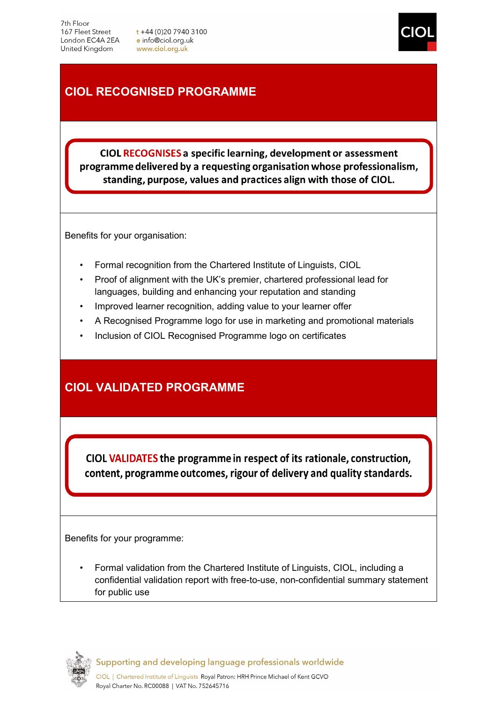

## **CIOL RECOGNISED PROGRAMME**

CIOL RECOGNISES a specific learning, development or assessment programme delivered by a requesting organisation whose professionalism, standing, purpose, values and practices align with those of CIOL.

Benefits for your organisation:

- Formal recognition from the Chartered Institute of Linguists, CIOL
- Proof of alignment with the UK's premier, chartered professional lead for languages, building and enhancing your reputation and standing
- Improved learner recognition, adding value to your learner offer
- A Recognised Programme logo for use in marketing and promotional materials
- Inclusion of CIOL Recognised Programme logo on certificates

## **CIOL VALIDATED PROGRAMME**

CIOL VALIDATES the programme in respect of its rationale, construction, content, programme outcomes, rigour of delivery and quality standards.

Benefits for your programme:

• Formal validation from the Chartered Institute of Linguists, CIOL, including a confidential validation report with free-to-use, non-confidential summary statement for public use



Supporting and developing language professionals worldwide CIOL | Chartered Institute of Linguists Royal Patron: HRH Prince Michael of Kent GCVO Royal Charter No. RC00088 | VAT No. 752645716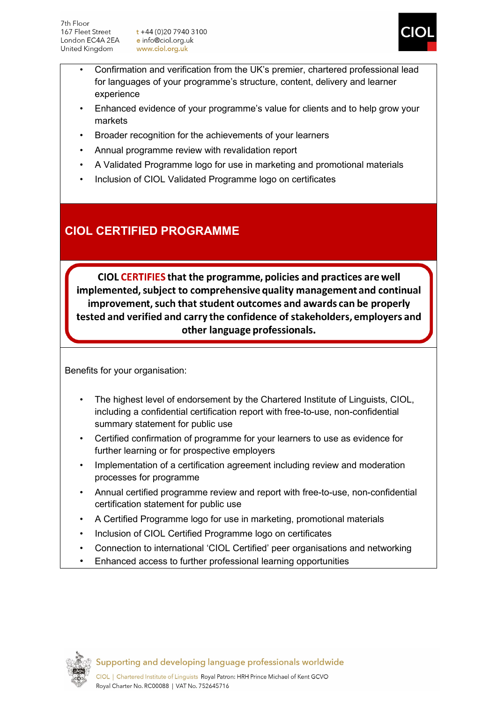

- Confirmation and verification from the UK's premier, chartered professional lead for languages of your programme's structure, content, delivery and learner experience
- Enhanced evidence of your programme's value for clients and to help grow your markets
- Broader recognition for the achievements of your learners
- Annual programme review with revalidation report
- A Validated Programme logo for use in marketing and promotional materials
- Inclusion of CIOL Validated Programme logo on certificates

## **CIOL CERTIFIED PROGRAMME**

CIOL CERTIFIES that the programme, policies and practices are well implemented, subject to comprehensive quality management and continual improvement, such that student outcomes and awards can be properly tested and verified and carry the confidence of stakeholders, employers and other language professionals.

Benefits for your organisation:

- The highest level of endorsement by the Chartered Institute of Linguists, CIOL, including a confidential certification report with free-to-use, non-confidential summary statement for public use
- Certified confirmation of programme for your learners to use as evidence for further learning or for prospective employers
- Implementation of a certification agreement including review and moderation processes for programme
- Annual certified programme review and report with free-to-use, non-confidential certification statement for public use
- A Certified Programme logo for use in marketing, promotional materials
- Inclusion of CIOL Certified Programme logo on certificates
- Connection to international 'CIOL Certified' peer organisations and networking
- Enhanced access to further professional learning opportunities

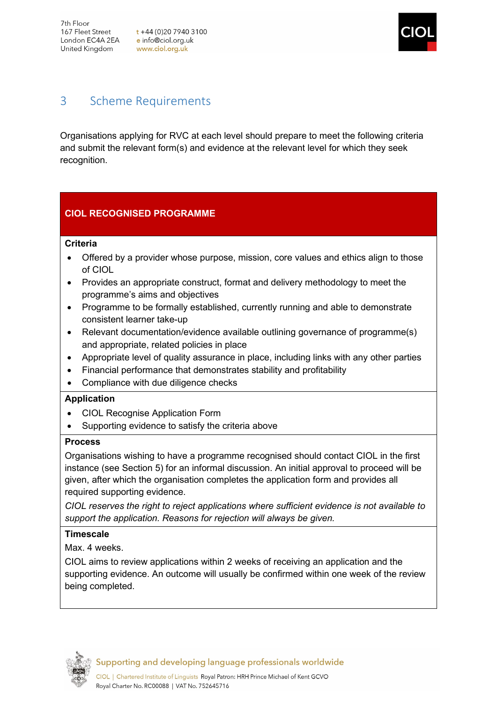

## <span id="page-5-0"></span>3 Scheme Requirements

Organisations applying for RVC at each level should prepare to meet the following criteria and submit the relevant form(s) and evidence at the relevant level for which they seek recognition.

### **CIOL RECOGNISED PROGRAMME**

#### **Criteria**

- Offered by a provider whose purpose, mission, core values and ethics align to those of CIOL
- Provides an appropriate construct, format and delivery methodology to meet the programme's aims and objectives
- Programme to be formally established, currently running and able to demonstrate consistent learner take-up
- Relevant documentation/evidence available outlining governance of programme(s) and appropriate, related policies in place
- Appropriate level of quality assurance in place, including links with any other parties
- Financial performance that demonstrates stability and profitability
- Compliance with due diligence checks

#### **Application**

- CIOL Recognise Application Form
- Supporting evidence to satisfy the criteria above

#### **Process**

Organisations wishing to have a programme recognised should contact CIOL in the first instance (see Section 5) for an informal discussion. An initial approval to proceed will be given, after which the organisation completes the application form and provides all required supporting evidence.

*CIOL reserves the right to reject applications where sufficient evidence is not available to support the application. Reasons for rejection will always be given.*

#### **Timescale**

Max. 4 weeks.

CIOL aims to review applications within 2 weeks of receiving an application and the supporting evidence. An outcome will usually be confirmed within one week of the review being completed.

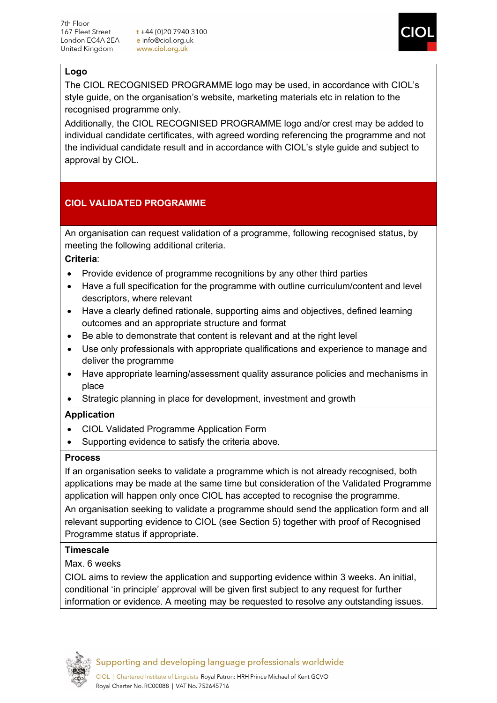7th Floor United Kingdom www.ciol.org.uk



#### **Logo**

The CIOL RECOGNISED PROGRAMME logo may be used, in accordance with CIOL's style guide, on the organisation's website, marketing materials etc in relation to the recognised programme only.

Additionally, the CIOL RECOGNISED PROGRAMME logo and/or crest may be added to individual candidate certificates, with agreed wording referencing the programme and not the individual candidate result and in accordance with CIOL's style guide and subject to approval by CIOL.

#### **CIOL VALIDATED PROGRAMME**

An organisation can request validation of a programme, following recognised status, by meeting the following additional criteria.

#### **Criteria**:

- Provide evidence of programme recognitions by any other third parties
- Have a full specification for the programme with outline curriculum/content and level descriptors, where relevant
- Have a clearly defined rationale, supporting aims and objectives, defined learning outcomes and an appropriate structure and format
- Be able to demonstrate that content is relevant and at the right level
- Use only professionals with appropriate qualifications and experience to manage and deliver the programme
- Have appropriate learning/assessment quality assurance policies and mechanisms in place
- Strategic planning in place for development, investment and growth

#### **Application**

- CIOL Validated Programme Application Form
- Supporting evidence to satisfy the criteria above.

#### **Process**

If an organisation seeks to validate a programme which is not already recognised, both applications may be made at the same time but consideration of the Validated Programme application will happen only once CIOL has accepted to recognise the programme.

An organisation seeking to validate a programme should send the application form and all relevant supporting evidence to CIOL (see Section 5) together with proof of Recognised Programme status if appropriate.

#### **Timescale**

Max. 6 weeks

CIOL aims to review the application and supporting evidence within 3 weeks. An initial, conditional 'in principle' approval will be given first subject to any request for further information or evidence. A meeting may be requested to resolve any outstanding issues.

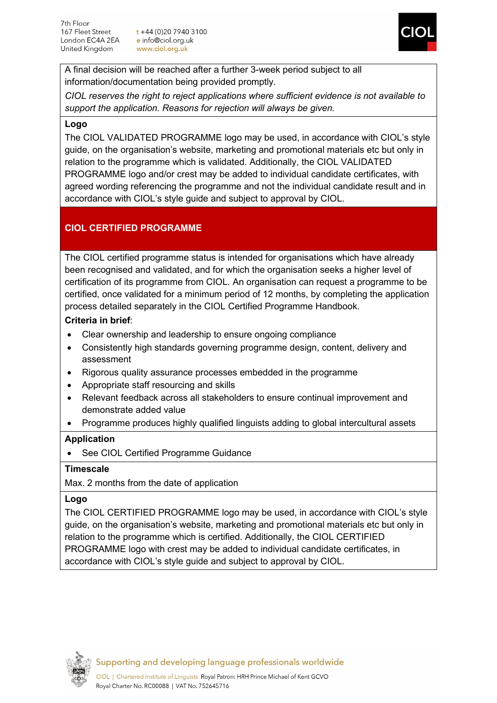7th Floor 167 Fleet Street London EC4A 2EA e info@ciol.org.uk United Kingdom www.ciol.org.uk

t +44 (0)20 7940 3100



A final decision will be reached after a further 3-week period subject to all information/documentation being provided promptly.

*CIOL reserves the right to reject applications where sufficient evidence is not available to support the application. Reasons for rejection will always be given.* 

#### **Logo**

The CIOL VALIDATED PROGRAMME logo may be used, in accordance with CIOL's style guide, on the organisation's website, marketing and promotional materials etc but only in relation to the programme which is validated. Additionally, the CIOL VALIDATED PROGRAMME logo and/or crest may be added to individual candidate certificates, with agreed wording referencing the programme and not the individual candidate result and in accordance with CIOL's style guide and subject to approval by CIOL.

#### **CIOL CERTIFIED PROGRAMME**

The CIOL certified programme status is intended for organisations which have already been recognised and validated, and for which the organisation seeks a higher level of certification of its programme from CIOL. An organisation can request a programme to be certified, once validated for a minimum period of 12 months, by completing the application process detailed separately in the CIOL Certified Programme Handbook.

#### **Criteria in brief**:

- Clear ownership and leadership to ensure ongoing compliance
- Consistently high standards governing programme design, content, delivery and assessment
- Rigorous quality assurance processes embedded in the programme
- Appropriate staff resourcing and skills
- Relevant feedback across all stakeholders to ensure continual improvement and demonstrate added value
- Programme produces highly qualified linguists adding to global intercultural assets

#### **Application**

See CIOL Certified Programme Guidance

#### **Timescale**

Max. 2 months from the date of application

#### **Logo**

The CIOL CERTIFIED PROGRAMME logo may be used, in accordance with CIOL's style guide, on the organisation's website, marketing and promotional materials etc but only in relation to the programme which is certified. Additionally, the CIOL CERTIFIED PROGRAMME logo with crest may be added to individual candidate certificates, in accordance with CIOL's style guide and subject to approval by CIOL.

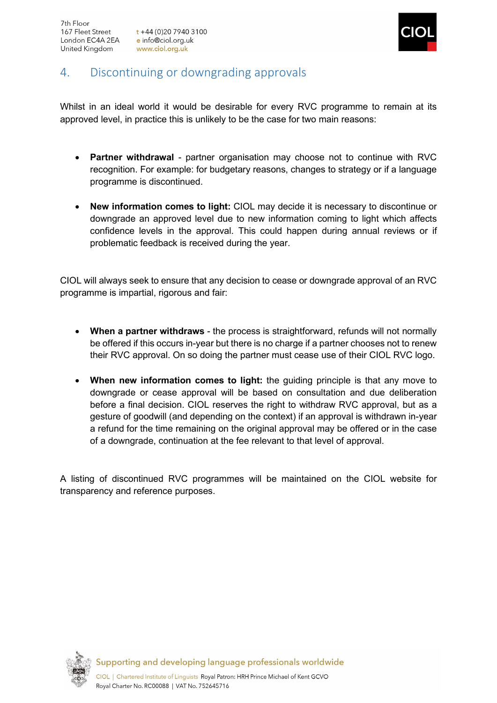

### <span id="page-8-0"></span>4. Discontinuing or downgrading approvals

Whilst in an ideal world it would be desirable for every RVC programme to remain at its approved level, in practice this is unlikely to be the case for two main reasons:

- **Partner withdrawal** partner organisation may choose not to continue with RVC recognition. For example: for budgetary reasons, changes to strategy or if a language programme is discontinued.
- **New information comes to light:** CIOL may decide it is necessary to discontinue or downgrade an approved level due to new information coming to light which affects confidence levels in the approval. This could happen during annual reviews or if problematic feedback is received during the year.

CIOL will always seek to ensure that any decision to cease or downgrade approval of an RVC programme is impartial, rigorous and fair:

- **When a partner withdraws** the process is straightforward, refunds will not normally be offered if this occurs in-year but there is no charge if a partner chooses not to renew their RVC approval. On so doing the partner must cease use of their CIOL RVC logo.
- **When new information comes to light:** the guiding principle is that any move to downgrade or cease approval will be based on consultation and due deliberation before a final decision. CIOL reserves the right to withdraw RVC approval, but as a gesture of goodwill (and depending on the context) if an approval is withdrawn in-year a refund for the time remaining on the original approval may be offered or in the case of a downgrade, continuation at the fee relevant to that level of approval.

A listing of discontinued RVC programmes will be maintained on the CIOL website for transparency and reference purposes.



Supporting and developing language professionals worldwide CIOL | Chartered Institute of Linguists Royal Patron: HRH Prince Michael of Kent GCVO Royal Charter No. RC00088 | VAT No. 752645716